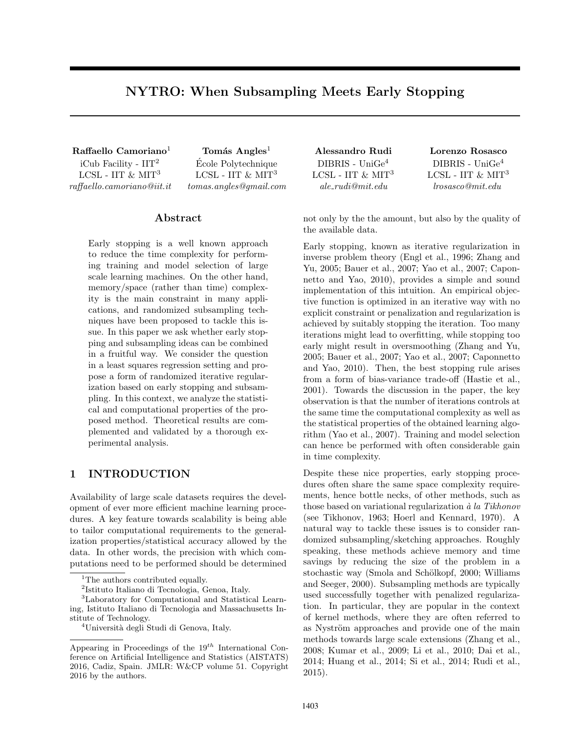# NYTRO: When Subsampling Meets Early Stopping

 $Raffaello Camoriano<sup>1</sup>$  Tomás Angles<sup>1</sup> Alessandro Rudi Lorenzo Rosasco

iCub Facility -  $\mathbf{IIT}^2$ LCSL - IIT  $\&$  MIT $3$ raffaello.camoriano@iit.it

Ecole Polytechnique ´ LCSL - IIT  $\&$  MIT<sup>3</sup> tomas.angles@gmail.com

# Abstract

Early stopping is a well known approach to reduce the time complexity for performing training and model selection of large scale learning machines. On the other hand, memory/space (rather than time) complexity is the main constraint in many applications, and randomized subsampling techniques have been proposed to tackle this issue. In this paper we ask whether early stopping and subsampling ideas can be combined in a fruitful way. We consider the question in a least squares regression setting and propose a form of randomized iterative regularization based on early stopping and subsampling. In this context, we analyze the statistical and computational properties of the proposed method. Theoretical results are complemented and validated by a thorough experimental analysis.

# 1 INTRODUCTION

Availability of large scale datasets requires the development of ever more efficient machine learning procedures. A key feature towards scalability is being able to tailor computational requirements to the generalization properties/statistical accuracy allowed by the data. In other words, the precision with which computations need to be performed should be determined

<sup>3</sup>Laboratory for Computational and Statistical Learning, Istituto Italiano di Tecnologia and Massachusetts Institute of Technology.

DIBRIS - UniGe<sup>4</sup> LCSL - IIT  $\&$  MIT<sup>3</sup> ale rudi@mit.edu

DIBRIS - UniGe<sup>4</sup> LCSL - IIT  $\&$  MIT<sup>3</sup> lrosasco@mit.edu

not only by the the amount, but also by the quality of the available data.

Early stopping, known as iterative regularization in inverse problem theory (Engl et al., 1996; Zhang and Yu, 2005; Bauer et al., 2007; Yao et al., 2007; Caponnetto and Yao, 2010), provides a simple and sound implementation of this intuition. An empirical objective function is optimized in an iterative way with no explicit constraint or penalization and regularization is achieved by suitably stopping the iteration. Too many iterations might lead to overfitting, while stopping too early might result in oversmoothing (Zhang and Yu, 2005; Bauer et al., 2007; Yao et al., 2007; Caponnetto and Yao, 2010). Then, the best stopping rule arises from a form of bias-variance trade-off (Hastie et al., 2001). Towards the discussion in the paper, the key observation is that the number of iterations controls at the same time the computational complexity as well as the statistical properties of the obtained learning algorithm (Yao et al., 2007). Training and model selection can hence be performed with often considerable gain in time complexity.

Despite these nice properties, early stopping procedures often share the same space complexity requirements, hence bottle necks, of other methods, such as those based on variational regularization  $\dot{a}$  la Tikhonov (see Tikhonov, 1963; Hoerl and Kennard, 1970). A natural way to tackle these issues is to consider randomized subsampling/sketching approaches. Roughly speaking, these methods achieve memory and time savings by reducing the size of the problem in a stochastic way (Smola and Schölkopf, 2000; Williams and Seeger, 2000). Subsampling methods are typically used successfully together with penalized regularization. In particular, they are popular in the context of kernel methods, where they are often referred to as Nyström approaches and provide one of the main methods towards large scale extensions (Zhang et al., 2008; Kumar et al., 2009; Li et al., 2010; Dai et al., 2014; Huang et al., 2014; Si et al., 2014; Rudi et al., 2015).

<sup>&</sup>lt;sup>1</sup>The authors contributed equally.

<sup>2</sup> Istituto Italiano di Tecnologia, Genoa, Italy.

<sup>&</sup>lt;sup>4</sup>Università degli Studi di Genova, Italy.

Appearing in Proceedings of the  $19^{th}$  International Conference on Artificial Intelligence and Statistics (AISTATS) 2016, Cadiz, Spain. JMLR: W&CP volume 51. Copyright 2016 by the authors.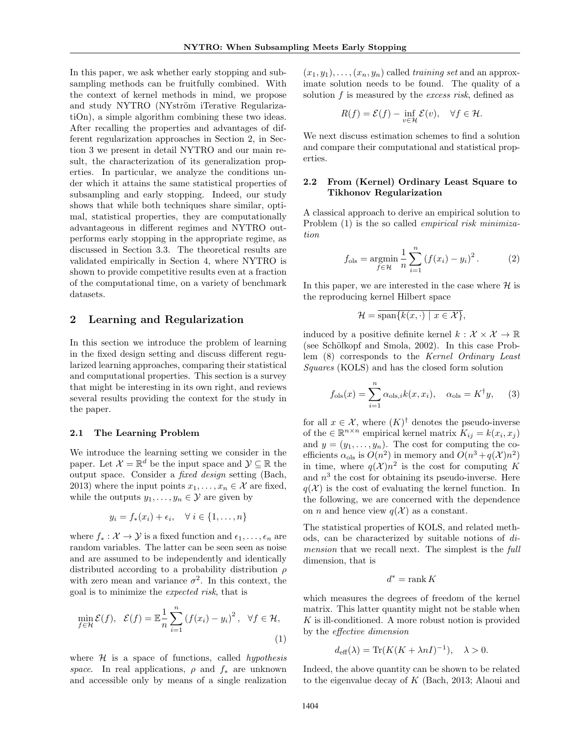In this paper, we ask whether early stopping and subsampling methods can be fruitfully combined. With the context of kernel methods in mind, we propose and study NYTRO (NYström iTerative RegularizatiOn), a simple algorithm combining these two ideas. After recalling the properties and advantages of different regularization approaches in Section 2, in Section 3 we present in detail NYTRO and our main result, the characterization of its generalization properties. In particular, we analyze the conditions under which it attains the same statistical properties of subsampling and early stopping. Indeed, our study shows that while both techniques share similar, optimal, statistical properties, they are computationally advantageous in different regimes and NYTRO outperforms early stopping in the appropriate regime, as discussed in Section 3.3. The theoretical results are validated empirically in Section 4, where NYTRO is shown to provide competitive results even at a fraction of the computational time, on a variety of benchmark datasets.

# 2 Learning and Regularization

In this section we introduce the problem of learning in the fixed design setting and discuss different regularized learning approaches, comparing their statistical and computational properties. This section is a survey that might be interesting in its own right, and reviews several results providing the context for the study in the paper.

### 2.1 The Learning Problem

We introduce the learning setting we consider in the paper. Let  $\mathcal{X} = \mathbb{R}^d$  be the input space and  $\mathcal{Y} \subseteq \mathbb{R}$  the output space. Consider a fixed design setting (Bach, 2013) where the input points  $x_1, \ldots, x_n \in \mathcal{X}$  are fixed, while the outputs  $y_1, \ldots, y_n \in \mathcal{Y}$  are given by

$$
y_i = f_*(x_i) + \epsilon_i, \quad \forall \ i \in \{1, \dots, n\}
$$

where  $f_* : \mathcal{X} \to \mathcal{Y}$  is a fixed function and  $\epsilon_1, \ldots, \epsilon_n$  are random variables. The latter can be seen seen as noise and are assumed to be independently and identically distributed according to a probability distribution  $\rho$ with zero mean and variance  $\sigma^2$ . In this context, the goal is to minimize the expected risk, that is

$$
\min_{f \in \mathcal{H}} \mathcal{E}(f), \quad \mathcal{E}(f) = \mathbb{E}\frac{1}{n} \sum_{i=1}^{n} \left(f(x_i) - y_i\right)^2, \quad \forall f \in \mathcal{H},\tag{1}
$$

where  $H$  is a space of functions, called *hypothesis* space. In real applications,  $\rho$  and  $f_*$  are unknown and accessible only by means of a single realization

 $(x_1, y_1), \ldots, (x_n, y_n)$  called training set and an approximate solution needs to be found. The quality of a solution f is measured by the excess risk, defined as

$$
R(f) = \mathcal{E}(f) - \inf_{v \in \mathcal{H}} \mathcal{E}(v), \quad \forall f \in \mathcal{H}.
$$

We next discuss estimation schemes to find a solution and compare their computational and statistical properties.

### 2.2 From (Kernel) Ordinary Least Square to Tikhonov Regularization

A classical approach to derive an empirical solution to Problem  $(1)$  is the so called *empirical risk minimiza*tion

$$
f_{\text{ols}} = \underset{f \in \mathcal{H}}{\text{argmin}} \frac{1}{n} \sum_{i=1}^{n} (f(x_i) - y_i)^2.
$$
 (2)

In this paper, we are interested in the case where  $\mathcal{H}$  is the reproducing kernel Hilbert space

$$
\mathcal{H} = \overline{\text{span}\{k(x,\cdot) \mid x \in \mathcal{X}\}},
$$

induced by a positive definite kernel  $k : \mathcal{X} \times \mathcal{X} \to \mathbb{R}$ (see Schölkopf and Smola, 2002). In this case Problem (8) corresponds to the Kernel Ordinary Least Squares (KOLS) and has the closed form solution

$$
f_{\text{ols}}(x) = \sum_{i=1}^{n} \alpha_{\text{ols},i} k(x, x_i), \quad \alpha_{\text{ols}} = K^{\dagger} y,\tag{3}
$$

for all  $x \in \mathcal{X}$ , where  $(K)^{\dagger}$  denotes the pseudo-inverse of the  $\in \mathbb{R}^{n \times n}$  empirical kernel matrix  $K_{ij} = k(x_i, x_j)$ and  $y = (y_1, \ldots, y_n)$ . The cost for computing the coefficients  $\alpha_{\text{ols}}$  is  $O(n^2)$  in memory and  $O(n^3 + q(\mathcal{X})n^2)$ in time, where  $q(\mathcal{X})n^2$  is the cost for computing K and  $n<sup>3</sup>$  the cost for obtaining its pseudo-inverse. Here  $q(\mathcal{X})$  is the cost of evaluating the kernel function. In the following, we are concerned with the dependence on *n* and hence view  $q(\mathcal{X})$  as a constant.

The statistical properties of KOLS, and related methods, can be characterized by suitable notions of dimension that we recall next. The simplest is the full dimension, that is

$$
d^* = \operatorname{rank} K
$$

which measures the degrees of freedom of the kernel matrix. This latter quantity might not be stable when K is ill-conditioned. A more robust notion is provided by the effective dimension

$$
d_{\text{eff}}(\lambda) = \text{Tr}(K(K + \lambda nI)^{-1}), \quad \lambda > 0.
$$

Indeed, the above quantity can be shown to be related to the eigenvalue decay of  $K$  (Bach, 2013; Alaoui and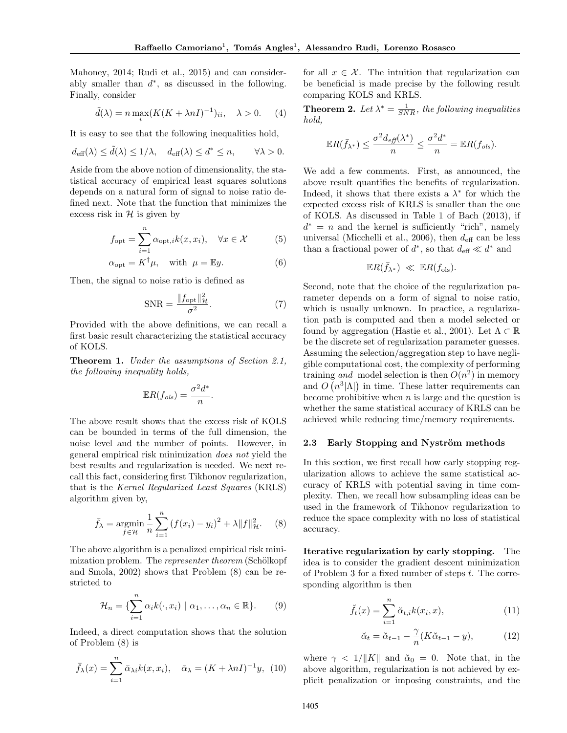Mahoney, 2014; Rudi et al., 2015) and can considerably smaller than  $d^*$ , as discussed in the following. Finally, consider

$$
\tilde{d}(\lambda) = n \max_{i} (K(K + \lambda nI)^{-1})_{ii}, \quad \lambda > 0. \tag{4}
$$

It is easy to see that the following inequalities hold,

$$
d_{\text{eff}}(\lambda) \le \tilde{d}(\lambda) \le 1/\lambda, \quad d_{\text{eff}}(\lambda) \le d^* \le n, \qquad \forall \lambda > 0.
$$

Aside from the above notion of dimensionality, the statistical accuracy of empirical least squares solutions depends on a natural form of signal to noise ratio defined next. Note that the function that minimizes the excess risk in  $H$  is given by

$$
f_{\text{opt}} = \sum_{i=1}^{n} \alpha_{\text{opt},i} k(x, x_i), \quad \forall x \in \mathcal{X}
$$
 (5)

$$
\alpha_{\text{opt}} = K^{\dagger} \mu, \quad \text{with } \mu = \mathbb{E}y. \tag{6}
$$

Then, the signal to noise ratio is defined as

$$
\text{SNR} = \frac{\|f_{\text{opt}}\|_{\mathcal{H}}^2}{\sigma^2}.
$$
 (7)

Provided with the above definitions, we can recall a first basic result characterizing the statistical accuracy of KOLS.

Theorem 1. Under the assumptions of Section 2.1, the following inequality holds,

$$
\mathbb{E}R(f_{ols}) = \frac{\sigma^2 d^*}{n}.
$$

The above result shows that the excess risk of KOLS can be bounded in terms of the full dimension, the noise level and the number of points. However, in general empirical risk minimization does not yield the best results and regularization is needed. We next recall this fact, considering first Tikhonov regularization, that is the Kernel Regularized Least Squares (KRLS) algorithm given by,

$$
\bar{f}_{\lambda} = \underset{f \in \mathcal{H}}{\text{argmin}} \frac{1}{n} \sum_{i=1}^{n} (f(x_i) - y_i)^2 + \lambda \|f\|_{\mathcal{H}}^2.
$$
 (8)

The above algorithm is a penalized empirical risk minimization problem. The *representer theorem* (Schölkopf and Smola, 2002) shows that Problem (8) can be restricted to

$$
\mathcal{H}_n = \{ \sum_{i=1}^n \alpha_i k(\cdot, x_i) \mid \alpha_1, \dots, \alpha_n \in \mathbb{R} \}. \tag{9}
$$

Indeed, a direct computation shows that the solution of Problem (8) is

$$
\bar{f}_{\lambda}(x) = \sum_{i=1}^{n} \bar{\alpha}_{\lambda i} k(x, x_i), \quad \bar{\alpha}_{\lambda} = (K + \lambda n I)^{-1} y, \tag{10}
$$

for all  $x \in \mathcal{X}$ . The intuition that regularization can be beneficial is made precise by the following result comparing KOLS and KRLS.

**Theorem 2.** Let  $\lambda^* = \frac{1}{SNR}$ , the following inequalities hold,

$$
\mathbb{E}R(\bar{f}_{\lambda^*}) \leq \frac{\sigma^2 d_{\text{eff}}(\lambda^*)}{n} \leq \frac{\sigma^2 d^*}{n} = \mathbb{E}R(f_{ols}).
$$

We add a few comments. First, as announced, the above result quantifies the benefits of regularization. Indeed, it shows that there exists a  $\lambda^*$  for which the expected excess risk of KRLS is smaller than the one of KOLS. As discussed in Table 1 of Bach (2013), if  $d^* = n$  and the kernel is sufficiently "rich", namely universal (Micchelli et al., 2006), then  $d_{\text{eff}}$  can be less than a fractional power of  $d^*$ , so that  $d_{\text{eff}} \ll d^*$  and

$$
\mathbb{E}R(\bar{f}_{\lambda^*}) \ll \mathbb{E}R(f_{\text{ols}}).
$$

Second, note that the choice of the regularization parameter depends on a form of signal to noise ratio, which is usually unknown. In practice, a regularization path is computed and then a model selected or found by aggregation (Hastie et al., 2001). Let  $\Lambda \subset \mathbb{R}$ be the discrete set of regularization parameter guesses. Assuming the selection/aggregation step to have negligible computational cost, the complexity of performing training and model selection is then  $O(n^2)$  in memory and  $O(n^3|\Lambda|)$  in time. These latter requirements can become prohibitive when  $n$  is large and the question is whether the same statistical accuracy of KRLS can be achieved while reducing time/memory requirements.

#### 2.3 Early Stopping and Nyström methods

In this section, we first recall how early stopping regularization allows to achieve the same statistical accuracy of KRLS with potential saving in time complexity. Then, we recall how subsampling ideas can be used in the framework of Tikhonov regularization to reduce the space complexity with no loss of statistical accuracy.

Iterative regularization by early stopping. The idea is to consider the gradient descent minimization of Problem 3 for a fixed number of steps t. The corresponding algorithm is then

$$
\breve{f}_t(x) = \sum_{i=1}^n \breve{\alpha}_{t,i} k(x_i, x), \qquad (11)
$$

$$
\breve{\alpha}_t = \breve{\alpha}_{t-1} - \frac{\gamma}{n} (K \breve{\alpha}_{t-1} - y), \tag{12}
$$

where  $\gamma < 1/||K||$  and  $\alpha_0 = 0$ . Note that, in the above algorithm, regularization is not achieved by explicit penalization or imposing constraints, and the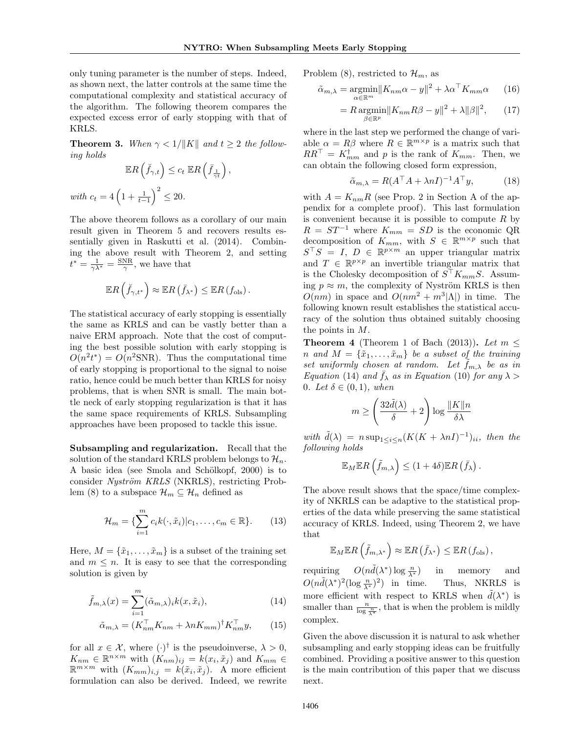only tuning parameter is the number of steps. Indeed, as shown next, the latter controls at the same time the computational complexity and statistical accuracy of the algorithm. The following theorem compares the expected excess error of early stopping with that of KRLS.

**Theorem 3.** When  $\gamma < 1/||K||$  and  $t \geq 2$  the following holds

$$
\mathbb{E}R\left(\check{f}_{\gamma,t}\right) \le c_t \mathbb{E}R\left(\bar{f}_{\frac{1}{\gamma t}}\right),
$$
  

$$
c_t = 4\left(1 + \frac{1}{t-1}\right)^2 \le 20.
$$

 $with$ 

The above theorem follows as a corollary of our main result given in Theorem 5 and recovers results essentially given in Raskutti et al. (2014). Combining the above result with Theorem 2, and setting  $t^* = \frac{1}{\gamma \lambda^*} = \frac{\text{SNR}}{\gamma}$ , we have that

$$
\mathbb{E} R\left(\breve{f}_{\gamma,t^*}\right) \approx \mathbb{E} R\left(\bar{f}_{\lambda^*}\right) \leq \mathbb{E} R\left(f_{\text{ols}}\right).
$$

The statistical accuracy of early stopping is essentially the same as KRLS and can be vastly better than a naive ERM approach. Note that the cost of computing the best possible solution with early stopping is  $O(n^2 t^*) = O(n^2 \text{SNR})$ . Thus the computational time of early stopping is proportional to the signal to noise ratio, hence could be much better than KRLS for noisy problems, that is when SNR is small. The main bottle neck of early stopping regularization is that it has the same space requirements of KRLS. Subsampling approaches have been proposed to tackle this issue.

Subsampling and regularization. Recall that the solution of the standard KRLS problem belongs to  $\mathcal{H}_n$ . A basic idea (see Smola and Schölkopf, 2000) is to consider Nyström KRLS (NKRLS), restricting Problem (8) to a subspace  $\mathcal{H}_m \subseteq \mathcal{H}_n$  defined as

$$
\mathcal{H}_m = \{ \sum_{i=1}^m c_i k(\cdot, \tilde{x}_i) | c_1, \dots, c_m \in \mathbb{R} \}. \tag{13}
$$

Here,  $M = {\tilde{x}_1, \ldots, \tilde{x}_m}$  is a subset of the training set and  $m \leq n$ . It is easy to see that the corresponding solution is given by

$$
\tilde{f}_{m,\lambda}(x) = \sum_{i=1}^{m} (\tilde{\alpha}_{m,\lambda})_i k(x, \tilde{x}_i), \qquad (14)
$$

$$
\tilde{\alpha}_{m,\lambda} = (K_{nm}^\top K_{nm} + \lambda n K_{mm})^\dagger K_{nm}^\top y,\qquad(15)
$$

for all  $x \in \mathcal{X}$ , where  $(\cdot)^{\dagger}$  is the pseudoinverse,  $\lambda > 0$ ,  $K_{nm} \in \mathbb{R}^{n \times m}$  with  $(K_{nm})_{ij} = k(x_i, \tilde{x}_j)$  and  $K_{mm} \in$  $\mathbb{R}^{m \times m}$  with  $(K_{mm})_{i,j} = k(\tilde{x}_i, \tilde{x}_j)$ . A more efficient formulation can also be derived. Indeed, we rewrite Problem (8), restricted to  $\mathcal{H}_m$ , as

$$
\tilde{\alpha}_{m,\lambda} = \underset{\alpha \in \mathbb{R}^m}{\operatorname{argmin}} \|K_{nm}\alpha - y\|^2 + \lambda \alpha^\top K_{mm}\alpha \qquad (16)
$$

$$
= R \underset{\beta \in \mathbb{R}^p}{\operatorname{argmin}} \|K_{nm} R\beta - y\|^2 + \lambda \|\beta\|^2, \qquad (17)
$$

where in the last step we performed the change of variable  $\alpha = R\beta$  where  $R \in \mathbb{R}^{m \times p}$  is a matrix such that  $RR^{\dagger} = K^{\dagger}_{mm}$  and p is the rank of  $K_{mm}$ . Then, we can obtain the following closed form expression,

$$
\tilde{\alpha}_{m,\lambda} = R(A^{\top}A + \lambda nI)^{-1}A^{\top}y,\tag{18}
$$

with  $A = K_{nm}R$  (see Prop. 2 in Section A of the appendix for a complete proof). This last formulation is convenient because it is possible to compute  $R$  by  $R = ST^{-1}$  where  $K_{mm} = SD$  is the economic QR decomposition of  $K_{mm}$ , with  $S \in \mathbb{R}^{m \times p}$  such that  $S^{\top}S = I, D \in \mathbb{R}^{p \times m}$  an upper triangular matrix and  $T \in \mathbb{R}^{p \times p}$  an invertible triangular matrix that is the Cholesky decomposition of  $S<sup>+</sup>K<sub>mm</sub>S$ . Assuming  $p \approx m$ , the complexity of Nyström KRLS is then  $O(nm)$  in space and  $O(nm^2 + m^3|\Lambda|)$  in time. The following known result establishes the statistical accuracy of the solution thus obtained suitably choosing the points in M.

**Theorem 4** (Theorem 1 of Bach (2013)). Let  $m \leq$ n and  $M = {\tilde{x}_1, \ldots, \tilde{x}_m}$  be a subset of the training set uniformly chosen at random. Let  $f_{m,\lambda}$  be as in Equation (14) and  $f_{\lambda}$  as in Equation (10) for any  $\lambda >$ 0. Let  $\delta \in (0,1)$ , when

$$
m \geq \left(\frac{32\tilde d(\lambda)}{\delta} + 2\right)\log \frac{\|K\|n}{\delta \lambda}
$$

with  $\tilde{d}(\lambda) = n \sup_{1 \leq i \leq n} (K(K + \lambda nI)^{-1})_{ii}$ , then the following holds

$$
\mathbb{E}_M \mathbb{E} R\left(\tilde{f}_{m,\lambda}\right) \leq (1+4\delta) \mathbb{E} R\left(\bar{f}_{\lambda}\right).
$$

The above result shows that the space/time complexity of NKRLS can be adaptive to the statistical properties of the data while preserving the same statistical accuracy of KRLS. Indeed, using Theorem 2, we have that

$$
\mathbb{E}_M \mathbb{E} R\left(\tilde{f}_{m,\lambda^*}\right) \approx \mathbb{E} R\left(\bar{f}_{\lambda^*}\right) \leq \mathbb{E} R\left(f_{\text{ols}}\right),
$$

requiring  $O(n\tilde{d}(\lambda^*))\log\frac{n}{\lambda^*}$ in memory and  $O(n\tilde{d}(\lambda^*)^2(\log\frac{n}{\lambda^*})^2)$ Thus, NKRLS is more efficient with respect to KRLS when  $\tilde{d}(\lambda^*)$  is smaller than  $\frac{n}{\log \frac{n}{\lambda^*}}$ , that is when the problem is mildly complex.

Given the above discussion it is natural to ask whether subsampling and early stopping ideas can be fruitfully combined. Providing a positive answer to this question is the main contribution of this paper that we discuss next.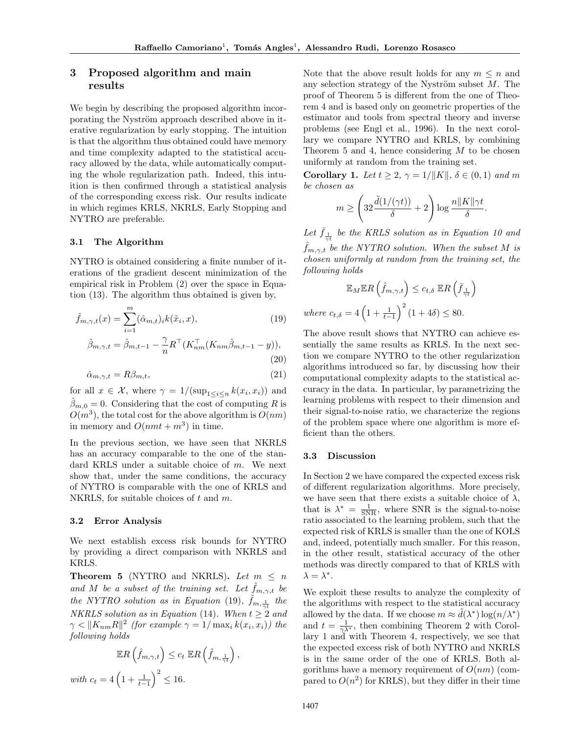# 3 Proposed algorithm and main results

We begin by describing the proposed algorithm incorporating the Nyström approach described above in iterative regularization by early stopping. The intuition is that the algorithm thus obtained could have memory and time complexity adapted to the statistical accuracy allowed by the data, while automatically computing the whole regularization path. Indeed, this intuition is then confirmed through a statistical analysis of the corresponding excess risk. Our results indicate in which regimes KRLS, NKRLS, Early Stopping and NYTRO are preferable.

### 3.1 The Algorithm

NYTRO is obtained considering a finite number of iterations of the gradient descent minimization of the empirical risk in Problem (2) over the space in Equation (13). The algorithm thus obtained is given by,

$$
\hat{f}_{m,\gamma,t}(x) = \sum_{i=1}^{m} (\hat{\alpha}_{m,t})_i k(\tilde{x}_i, x),
$$
\n
$$
\hat{\beta}_{m,\gamma,t} = \hat{\beta}_{m,t-1} - \frac{\gamma}{n} R^\top (K_{nm}^\top (K_{nm}\hat{\beta}_{m,t-1} - y)),
$$
\n(19)

$$
\rho_{m,\gamma,t} = \rho_{m,t-1} - \frac{1}{n} \mathcal{L} \left( \mathcal{L}_{nm}(\mathcal{L}_{nm}\rho_{m,t-1} - y)) \right),\tag{20}
$$

$$
\hat{\alpha}_{m,\gamma,t} = R\beta_{m,t},\tag{21}
$$

for all  $x \in \mathcal{X}$ , where  $\gamma = 1/(\sup_{1 \leq i \leq n} k(x_i, x_i))$  and  $\hat{\beta}_{m,0} = 0$ . Considering that the cost of computing R is  $O(m^3)$ , the total cost for the above algorithm is  $O(nm)$ in memory and  $O(nmt + m^3)$  in time.

In the previous section, we have seen that NKRLS has an accuracy comparable to the one of the standard KRLS under a suitable choice of m. We next show that, under the same conditions, the accuracy of NYTRO is comparable with the one of KRLS and NKRLS, for suitable choices of t and m.

### 3.2 Error Analysis

We next establish excess risk bounds for NYTRO by providing a direct comparison with NKRLS and KRLS.

**Theorem 5** (NYTRO and NKRLS). Let  $m \leq n$ and M be a subset of the training set. Let  $f_{m,\gamma,t}$  be the NYTRO solution as in Equation (19),  $\tilde{f}_{m,\frac{1}{\gamma t}}$  the NKRLS solution as in Equation (14). When  $t \geq 2$  and  $\gamma < ||K_{nm}R||^2$  (for example  $\gamma = 1/\max_i k(x_i, x_i)$ ) the following holds

$$
\mathbb{E}R\left(\hat{f}_{m,\gamma,t}\right) \le c_t \mathbb{E}R\left(\tilde{f}_{m,\frac{1}{\gamma t}}\right),
$$
  
with  $c_t = 4\left(1 + \frac{1}{t-1}\right)^2 \le 16$ .

Note that the above result holds for any  $m \leq n$  and any selection strategy of the Nyström subset  $M$ . The proof of Theorem 5 is different from the one of Theorem 4 and is based only on geometric properties of the estimator and tools from spectral theory and inverse problems (see Engl et al., 1996). In the next corollary we compare NYTRO and KRLS, by combining Theorem 5 and 4, hence considering  $M$  to be chosen uniformly at random from the training set.

Corollary 1. Let  $t \geq 2$ ,  $\gamma = 1/\|K\|$ ,  $\delta \in (0,1)$  and m be chosen as

$$
m \geq \left(32\frac{\tilde d(1/(\gamma t))}{\delta} + 2\right)\log\frac{n\|K\|\gamma t}{\delta}.
$$

Let  $\bar{f}_{\frac{1}{\gamma t}}$  be the KRLS solution as in Equation 10 and  $f_{m,\gamma,t}$  be the NYTRO solution. When the subset M is chosen uniformly at random from the training set, the following holds

$$
\mathbb{E}_{M} \mathbb{E} R\left(\hat{f}_{m,\gamma,t}\right) \leq c_{t,\delta} \mathbb{E} R\left(\bar{f}_{\frac{1}{\gamma t}}\right)
$$
  
where  $c_{t,\delta} = 4\left(1 + \frac{1}{t-1}\right)^2 (1 + 4\delta) \leq 80$ .

The above result shows that NYTRO can achieve essentially the same results as KRLS. In the next section we compare NYTRO to the other regularization algorithms introduced so far, by discussing how their computational complexity adapts to the statistical accuracy in the data. In particular, by parametrizing the learning problems with respect to their dimension and their signal-to-noise ratio, we characterize the regions of the problem space where one algorithm is more efficient than the others.

#### 3.3 Discussion

In Section 2 we have compared the expected excess risk of different regularization algorithms. More precisely, we have seen that there exists a suitable choice of  $\lambda$ , that is  $\lambda^* = \frac{1}{SNR}$ , where SNR is the signal-to-noise ratio associated to the learning problem, such that the expected risk of KRLS is smaller than the one of KOLS and, indeed, potentially much smaller. For this reason, in the other result, statistical accuracy of the other methods was directly compared to that of KRLS with  $\lambda = \lambda^*$ .

We exploit these results to analyze the complexity of the algorithms with respect to the statistical accuracy allowed by the data. If we choose  $m \approx \tilde{d}(\lambda^*) \log(n/\lambda^*)$ and  $t = \frac{1}{\gamma \lambda^*}$ , then combining Theorem 2 with Corollary 1 and with Theorem 4, respectively, we see that the expected excess risk of both NYTRO and NKRLS is in the same order of the one of KRLS. Both algorithms have a memory requirement of  $O(nm)$  (compared to  $O(n^2)$  for KRLS), but they differ in their time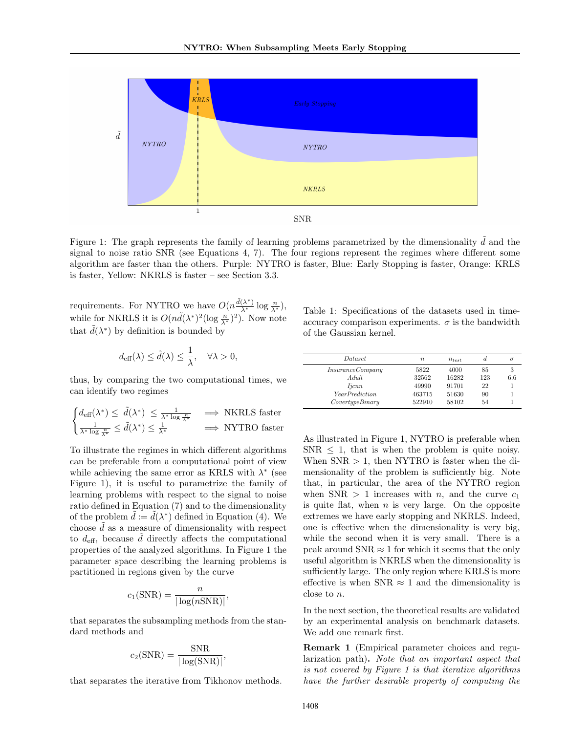

Figure 1: The graph represents the family of learning problems parametrized by the dimensionality  $d$  and the signal to noise ratio SNR (see Equations 4, 7). The four regions represent the regimes where different some algorithm are faster than the others. Purple: NYTRO is faster, Blue: Early Stopping is faster, Orange: KRLS is faster, Yellow: NKRLS is faster – see Section 3.3.

requirements. For NYTRO we have  $O(n \frac{\tilde{d}(\lambda^*)}{\lambda^*} \log \frac{n}{\lambda^*}),$ while for NKRLS it is  $O(n\tilde{d}(\lambda^*)^2(\log \frac{n}{\lambda^*})^2)$ . Now note that  $\tilde{d}(\lambda^*)$  by definition is bounded by

$$
d_{\text{eff}}(\lambda) \le \tilde{d}(\lambda) \le \frac{1}{\lambda}, \quad \forall \lambda > 0,
$$

thus, by comparing the two computational times, we can identify two regimes

$$
\begin{cases} d_{\text{eff}}(\lambda^*) \leq \tilde{d}(\lambda^*) \leq \frac{1}{\lambda^* \log \frac{n}{\lambda^*}} & \implies \text{NKRLS faster} \\ \frac{1}{\lambda^* \log \frac{n}{\lambda^*}} \leq \tilde{d}(\lambda^*) \leq \frac{1}{\lambda^*} & \implies \text{NYTRO faster} \end{cases}
$$

To illustrate the regimes in which different algorithms can be preferable from a computational point of view while achieving the same error as KRLS with  $\lambda^*$  (see Figure 1), it is useful to parametrize the family of learning problems with respect to the signal to noise ratio defined in Equation (7) and to the dimensionality of the problem  $\tilde{d} := \tilde{d}(\lambda^*)$  defined in Equation (4). We choose  $d$  as a measure of dimensionality with respect to  $d_{\text{eff}}$ , because  $\tilde{d}$  directly affects the computational properties of the analyzed algorithms. In Figure 1 the parameter space describing the learning problems is partitioned in regions given by the curve

$$
c_1(\text{SNR}) = \frac{n}{|\log(n\text{SNR})|},
$$

that separates the subsampling methods from the standard methods and

$$
c_2(SNR) = \frac{SNR}{|\log(SNR)|},
$$

that separates the iterative from Tikhonov methods.

Table 1: Specifications of the datasets used in timeaccuracy comparison experiments.  $\sigma$  is the bandwidth of the Gaussian kernel.

| <i>Dataset</i>        | $\boldsymbol{n}$ | $n_{test}$ | d   | σ   |
|-----------------------|------------------|------------|-----|-----|
| In surface Company    | 5822             | 4000       | 85  | 3   |
| A dult                | 32562            | 16282      | 123 | 6.6 |
| <i>Ijcnn</i>          | 49990            | 91701      | 22  |     |
| <b>YearPrediction</b> | 463715           | 51630      | 90  |     |
| CovertypeBinary       | 522910           | 58102      | 54  |     |

As illustrated in Figure 1, NYTRO is preferable when  $SNR < 1$ , that is when the problem is quite noisy. When  $SNR > 1$ , then NYTRO is faster when the dimensionality of the problem is sufficiently big. Note that, in particular, the area of the NYTRO region when SNR  $> 1$  increases with *n*, and the curve  $c_1$ is quite flat, when  $n$  is very large. On the opposite extremes we have early stopping and NKRLS. Indeed, one is effective when the dimensionality is very big, while the second when it is very small. There is a peak around  $SNR \approx 1$  for which it seems that the only useful algorithm is NKRLS when the dimensionality is sufficiently large. The only region where KRLS is more effective is when SNR  $\approx$  1 and the dimensionality is close to n.

In the next section, the theoretical results are validated by an experimental analysis on benchmark datasets. We add one remark first.

Remark 1 (Empirical parameter choices and regularization path). Note that an important aspect that is not covered by Figure 1 is that iterative algorithms have the further desirable property of computing the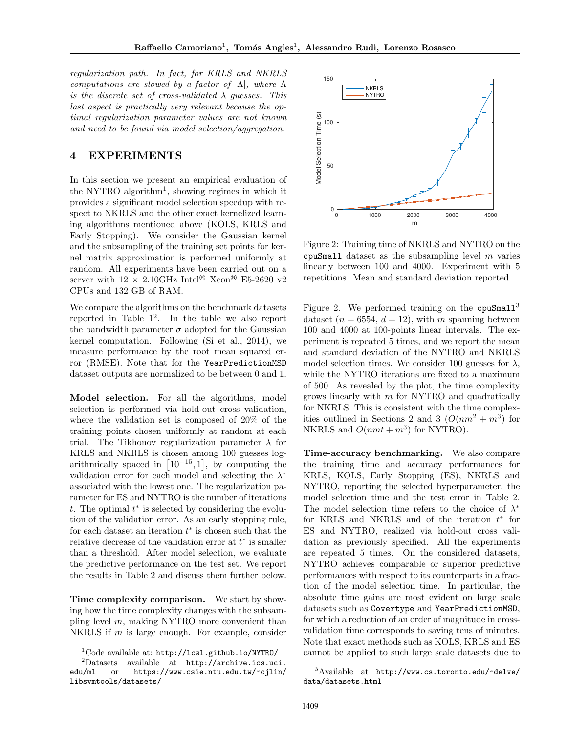regularization path. In fact, for KRLS and NKRLS computations are slowed by a factor of  $|\Lambda|$ , where  $\Lambda$ is the discrete set of cross-validated  $\lambda$  guesses. This last aspect is practically very relevant because the optimal regularization parameter values are not known and need to be found via model selection/aggregation.

## 4 EXPERIMENTS

In this section we present an empirical evaluation of the NYTRO algorithm<sup>1</sup>, showing regimes in which it provides a significant model selection speedup with respect to NKRLS and the other exact kernelized learning algorithms mentioned above (KOLS, KRLS and Early Stopping). We consider the Gaussian kernel and the subsampling of the training set points for kernel matrix approximation is performed uniformly at random. All experiments have been carried out on a server with  $12 \times 2.10 \text{GHz}$  Intel<sup>®</sup> Xeon<sup>®</sup> E5-2620 v2 CPUs and 132 GB of RAM.

We compare the algorithms on the benchmark datasets reported in Table 1 2 . In the table we also report the bandwidth parameter  $\sigma$  adopted for the Gaussian kernel computation. Following (Si et al., 2014), we measure performance by the root mean squared error (RMSE). Note that for the YearPredictionMSD dataset outputs are normalized to be between 0 and 1.

Model selection. For all the algorithms, model selection is performed via hold-out cross validation, where the validation set is composed of 20% of the training points chosen uniformly at random at each trial. The Tikhonov regularization parameter  $\lambda$  for KRLS and NKRLS is chosen among 100 guesses logarithmically spaced in  $[10^{-15}, 1]$ , by computing the validation error for each model and selecting the  $\lambda^*$ associated with the lowest one. The regularization parameter for ES and NYTRO is the number of iterations t. The optimal  $t^*$  is selected by considering the evolution of the validation error. As an early stopping rule, for each dataset an iteration  $t^*$  is chosen such that the relative decrease of the validation error at  $t^*$  is smaller than a threshold. After model selection, we evaluate the predictive performance on the test set. We report the results in Table 2 and discuss them further below.

Time complexity comparison. We start by showing how the time complexity changes with the subsampling level  $m$ , making NYTRO more convenient than NKRLS if  $m$  is large enough. For example, consider



Figure 2: Training time of NKRLS and NYTRO on the cpuSmall dataset as the subsampling level  $m$  varies linearly between 100 and 4000. Experiment with 5 repetitions. Mean and standard deviation reported.

Figure 2. We performed training on the  $cpuSmall<sup>3</sup>$ dataset ( $n = 6554$ ,  $d = 12$ ), with m spanning between 100 and 4000 at 100-points linear intervals. The experiment is repeated 5 times, and we report the mean and standard deviation of the NYTRO and NKRLS model selection times. We consider 100 guesses for  $\lambda$ , while the NYTRO iterations are fixed to a maximum of 500. As revealed by the plot, the time complexity grows linearly with  $m$  for NYTRO and quadratically for NKRLS. This is consistent with the time complexities outlined in Sections 2 and 3  $(O(nm^2 + m^3))$  for NKRLS and  $O(nmt + m^3)$  for NYTRO).

Time-accuracy benchmarking. We also compare the training time and accuracy performances for KRLS, KOLS, Early Stopping (ES), NKRLS and NYTRO, reporting the selected hyperparameter, the model selection time and the test error in Table 2. The model selection time refers to the choice of  $\lambda^*$ for KRLS and NKRLS and of the iteration  $t^*$  for ES and NYTRO, realized via hold-out cross validation as previously specified. All the experiments are repeated 5 times. On the considered datasets, NYTRO achieves comparable or superior predictive performances with respect to its counterparts in a fraction of the model selection time. In particular, the absolute time gains are most evident on large scale datasets such as Covertype and YearPredictionMSD, for which a reduction of an order of magnitude in crossvalidation time corresponds to saving tens of minutes. Note that exact methods such as KOLS, KRLS and ES cannot be applied to such large scale datasets due to

 $1$ Code available at: http://lcsl.github.io/NYTRO/

<sup>2</sup>Datasets available at http://archive.ics.uci. edu/ml or https://www.csie.ntu.edu.tw/~cjlin/ libsvmtools/datasets/

 $3A$ vailable at http://www.cs.toronto.edu/~delve/ data/datasets.html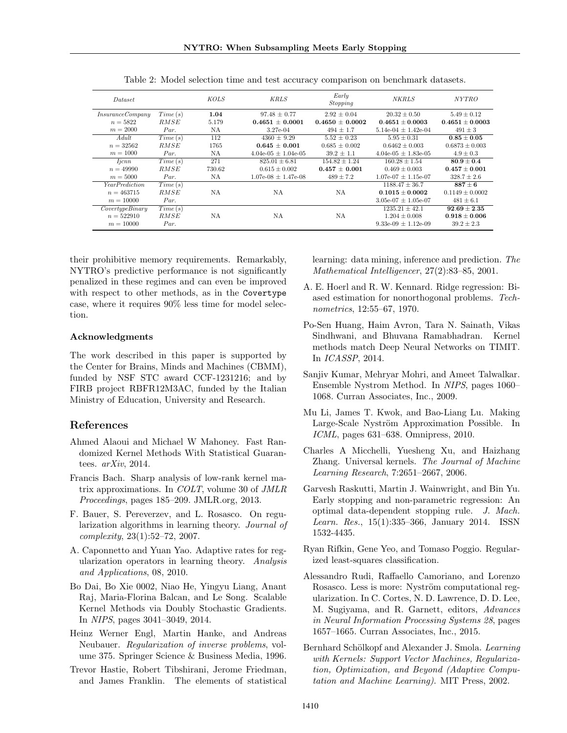| <i>Dataset</i>        |         | KOLS   | <b>KRLS</b>             | Early<br>Stopping | <b>NKRLS</b>            | <i>NYTRO</i>        |
|-----------------------|---------|--------|-------------------------|-------------------|-------------------------|---------------------|
| In surface Company    | Time(s) | 1.04   | $97.48 \pm 0.77$        | $2.92 \pm 0.04$   | $20.32 \pm 0.50$        | $5.49 \pm 0.12$     |
| $n = 5822$            | RMSE    | 5.179  | $0.4651 + 0.0001$       | $0.4650 + 0.0002$ | $0.4651 + 0.0003$       | $0.4651 \pm 0.0003$ |
| $m = 2000$            | Par.    | NA     | $3.27e-04$              | $494 \pm 1.7$     | $5.14e-04 \pm 1.42e-04$ | $491 \pm 3$         |
| $A du$ lt             | Time(s) | 112    | $4360 + 9.29$           | $5.52 \pm 0.23$   | $5.95 + 0.31$           | $0.85 + 0.05$       |
| $n = 32562$           | RMSE    | 1765   | $0.645 + 0.001$         | $0.685 \pm 0.002$ | $0.6462 \pm 0.003$      | $0.6873 \pm 0.003$  |
| $m = 1000$            | Par.    | NA     | $4.04e-05 \pm 1.04e-05$ | $39.2 \pm 1.1$    | $4.04e-05 + 1.83e-05$   | $4.9 \pm 0.3$       |
| <i>licnn</i>          | Time(s) | 271    | $825.01 \pm 6.81$       | $154.82 + 1.24$   | $160.28 \pm 1.54$       | $80.9 \pm 0.4$      |
| $n = 49990$           | RMSE    | 730.62 | $0.615 \pm 0.002$       | $0.457 + 0.001$   | $0.469 + 0.003$         | $0.457 + 0.001$     |
| $m = 5000$            | Par.    | NA     | $1.07e-08 \pm 1.47e-08$ | $489 \pm 7.2$     | $1.07e-07 \pm 1.15e-07$ | $328.7 \pm 2.6$     |
| <i>YearPrediction</i> | Time(s) |        |                         |                   | $1188.47 \pm 36.7$      | $887 + 6$           |
| $n = 463715$          | RMSE    | NA     | NA                      | NA                | $0.1015 \pm 0.0002$     | $0.1149 \pm 0.0002$ |
| $m = 10000$           | Par.    |        |                         |                   | $3.05e-07 \pm 1.05e-07$ | $481 \pm 6.1$       |
| CovertypeBinary       | Time(s) |        |                         |                   | $1235.21 \pm 42.1$      | $92.69 + 2.35$      |
| $n = 522910$          | RMSE    | NA     | NA                      | NA                | $1.204 \pm 0.008$       | $0.918 + 0.006$     |
| $m = 10000$           | Par.    |        |                         |                   | $9.33e-09 \pm 1.12e-09$ | $39.2 \pm 2.3$      |

Table 2: Model selection time and test accuracy comparison on benchmark datasets.

their prohibitive memory requirements. Remarkably, NYTRO's predictive performance is not significantly penalized in these regimes and can even be improved with respect to other methods, as in the Covertype case, where it requires 90% less time for model selection.

### Acknowledgments

The work described in this paper is supported by the Center for Brains, Minds and Machines (CBMM), funded by NSF STC award CCF-1231216; and by FIRB project RBFR12M3AC, funded by the Italian Ministry of Education, University and Research.

### References

- Ahmed Alaoui and Michael W Mahoney. Fast Randomized Kernel Methods With Statistical Guarantees. arXiv, 2014.
- Francis Bach. Sharp analysis of low-rank kernel matrix approximations. In COLT, volume 30 of JMLR Proceedings, pages 185–209. JMLR.org, 2013.
- F. Bauer, S. Pereverzev, and L. Rosasco. On regularization algorithms in learning theory. Journal of complexity, 23(1):52–72, 2007.
- A. Caponnetto and Yuan Yao. Adaptive rates for regularization operators in learning theory. Analysis and Applications, 08, 2010.
- Bo Dai, Bo Xie 0002, Niao He, Yingyu Liang, Anant Raj, Maria-Florina Balcan, and Le Song. Scalable Kernel Methods via Doubly Stochastic Gradients. In NIPS, pages 3041–3049, 2014.
- Heinz Werner Engl, Martin Hanke, and Andreas Neubauer. Regularization of inverse problems, volume 375. Springer Science & Business Media, 1996.
- Trevor Hastie, Robert Tibshirani, Jerome Friedman, and James Franklin. The elements of statistical

learning: data mining, inference and prediction. The Mathematical Intelligencer, 27(2):83–85, 2001.

- A. E. Hoerl and R. W. Kennard. Ridge regression: Biased estimation for nonorthogonal problems. Technometrics, 12:55–67, 1970.
- Po-Sen Huang, Haim Avron, Tara N. Sainath, Vikas Sindhwani, and Bhuvana Ramabhadran. Kernel methods match Deep Neural Networks on TIMIT. In ICASSP, 2014.
- Sanjiv Kumar, Mehryar Mohri, and Ameet Talwalkar. Ensemble Nystrom Method. In NIPS, pages 1060– 1068. Curran Associates, Inc., 2009.
- Mu Li, James T. Kwok, and Bao-Liang Lu. Making Large-Scale Nyström Approximation Possible. In ICML, pages 631–638. Omnipress, 2010.
- Charles A Micchelli, Yuesheng Xu, and Haizhang Zhang. Universal kernels. The Journal of Machine Learning Research, 7:2651–2667, 2006.
- Garvesh Raskutti, Martin J. Wainwright, and Bin Yu. Early stopping and non-parametric regression: An optimal data-dependent stopping rule. J. Mach. Learn. Res., 15(1):335–366, January 2014. ISSN 1532-4435.
- Ryan Rifkin, Gene Yeo, and Tomaso Poggio. Regularized least-squares classification.
- Alessandro Rudi, Raffaello Camoriano, and Lorenzo Rosasco. Less is more: Nyström computational regularization. In C. Cortes, N. D. Lawrence, D. D. Lee, M. Sugiyama, and R. Garnett, editors, Advances in Neural Information Processing Systems 28, pages 1657–1665. Curran Associates, Inc., 2015.
- Bernhard Schölkopf and Alexander J. Smola. Learning with Kernels: Support Vector Machines, Regularization, Optimization, and Beyond (Adaptive Computation and Machine Learning). MIT Press, 2002.